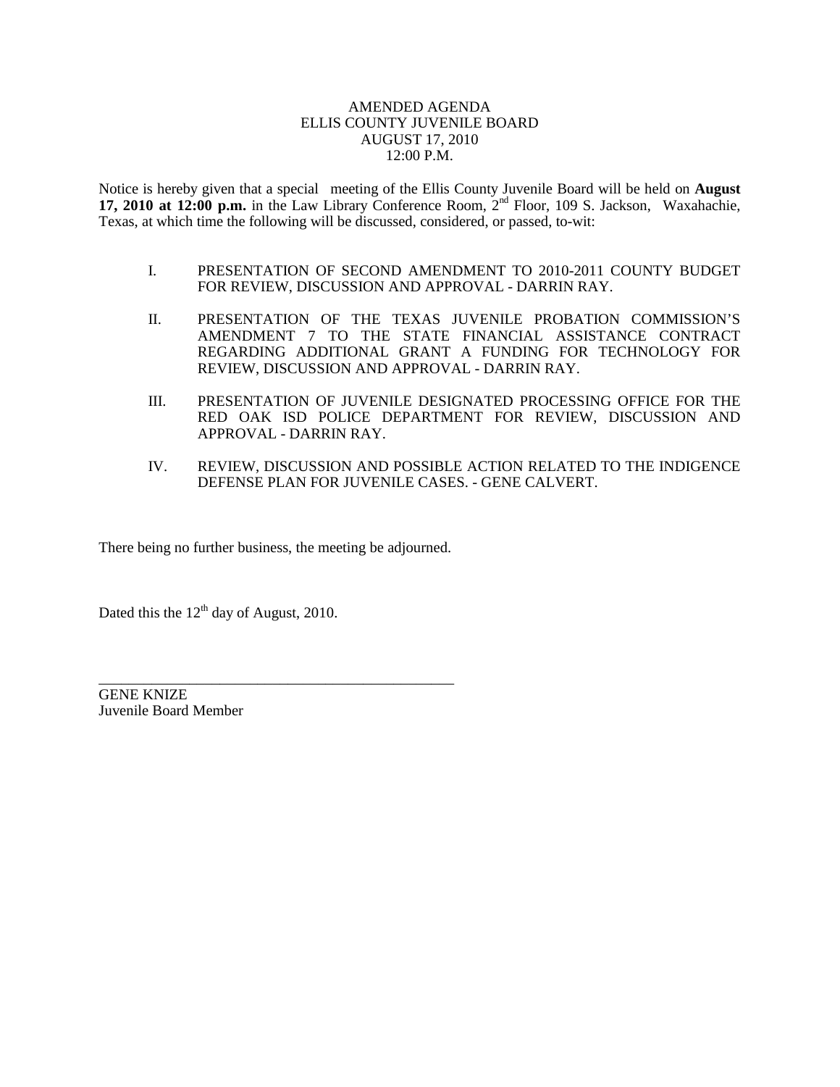## AMENDED AGENDA ELLIS COUNTY JUVENILE BOARD AUGUST 17, 2010 12:00 P.M.

Notice is hereby given that a special meeting of the Ellis County Juvenile Board will be held on **August 17, 2010 at 12:00 p.m.** in the Law Library Conference Room, 2nd Floor, 109 S. Jackson, Waxahachie, Texas, at which time the following will be discussed, considered, or passed, to-wit:

- I. PRESENTATION OF SECOND AMENDMENT TO 2010-2011 COUNTY BUDGET FOR REVIEW, DISCUSSION AND APPROVAL - DARRIN RAY.
- II. PRESENTATION OF THE TEXAS JUVENILE PROBATION COMMISSION'S AMENDMENT 7 TO THE STATE FINANCIAL ASSISTANCE CONTRACT REGARDING ADDITIONAL GRANT A FUNDING FOR TECHNOLOGY FOR REVIEW, DISCUSSION AND APPROVAL - DARRIN RAY.
- III. PRESENTATION OF JUVENILE DESIGNATED PROCESSING OFFICE FOR THE RED OAK ISD POLICE DEPARTMENT FOR REVIEW, DISCUSSION AND APPROVAL - DARRIN RAY.
- IV. REVIEW, DISCUSSION AND POSSIBLE ACTION RELATED TO THE INDIGENCE DEFENSE PLAN FOR JUVENILE CASES. - GENE CALVERT.

There being no further business, the meeting be adjourned.

\_\_\_\_\_\_\_\_\_\_\_\_\_\_\_\_\_\_\_\_\_\_\_\_\_\_\_\_\_\_\_\_\_\_\_\_\_\_\_\_\_\_\_\_\_\_\_

Dated this the  $12<sup>th</sup>$  day of August, 2010.

GENE KNIZE Juvenile Board Member